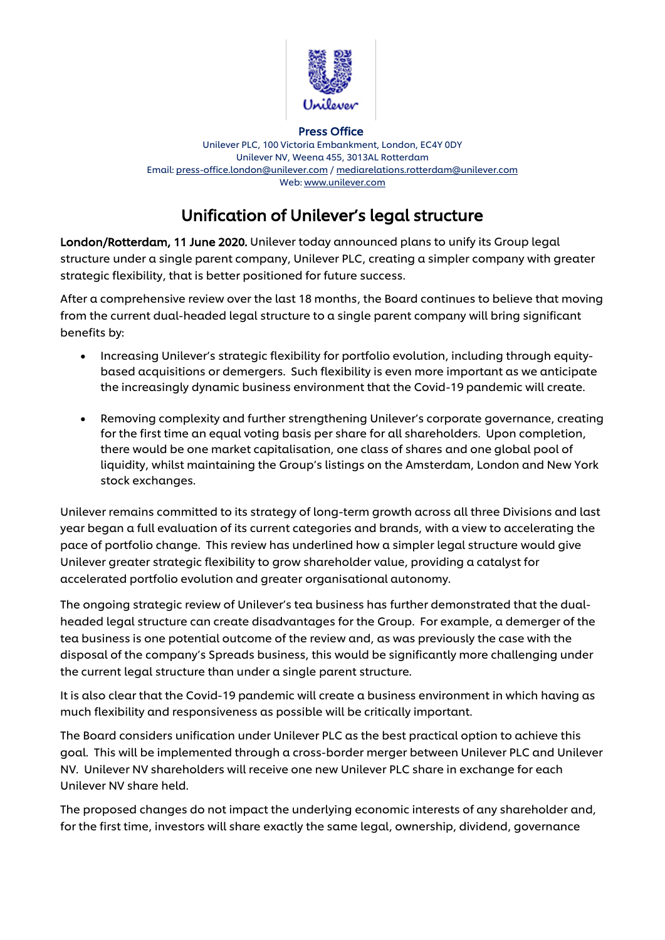

Press Office

Unilever PLC, 100 Victoria Embankment, London, EC4Y 0DY Unilever NV, Weena 455, 3013AL Rotterdam Email: [press-office.london@unilever.com](mailto:press-office.london@unilever.com) [/ mediarelations.rotterdam@unilever.com](mailto:mediarelations.rotterdam@unilever.com) Web: [www.unilever.com](http://www.unilever.com/)

# Unification of Unilever's legal structure

London/Rotterdam, 11 June 2020. Unilever today announced plans to unify its Group legal structure under a single parent company, Unilever PLC, creating a simpler company with greater strategic flexibility, that is better positioned for future success.

After a comprehensive review over the last 18 months, the Board continues to believe that moving from the current dual-headed legal structure to a single parent company will bring significant benefits by:

- Increasing Unilever's strategic flexibility for portfolio evolution, including through equitybased acquisitions or demergers. Such flexibility is even more important as we anticipate the increasingly dynamic business environment that the Covid-19 pandemic will create.
- Removing complexity and further strengthening Unilever's corporate governance, creating for the first time an equal voting basis per share for all shareholders. Upon completion, there would be one market capitalisation, one class of shares and one global pool of liquidity, whilst maintaining the Group's listings on the Amsterdam, London and New York stock exchanges.

Unilever remains committed to its strategy of long-term growth across all three Divisions and last year began a full evaluation of its current categories and brands, with a view to accelerating the pace of portfolio change. This review has underlined how a simpler legal structure would give Unilever greater strategic flexibility to grow shareholder value, providing a catalyst for accelerated portfolio evolution and greater organisational autonomy.

The ongoing strategic review of Unilever's tea business has further demonstrated that the dualheaded legal structure can create disadvantages for the Group. For example, a demerger of the tea business is one potential outcome of the review and, as was previously the case with the disposal of the company's Spreads business, this would be significantly more challenging under the current legal structure than under a single parent structure.

It is also clear that the Covid-19 pandemic will create a business environment in which having as much flexibility and responsiveness as possible will be critically important.

The Board considers unification under Unilever PLC as the best practical option to achieve this goal. This will be implemented through a cross-border merger between Unilever PLC and Unilever NV. Unilever NV shareholders will receive one new Unilever PLC share in exchange for each Unilever NV share held.

The proposed changes do not impact the underlying economic interests of any shareholder and, for the first time, investors will share exactly the same legal, ownership, dividend, governance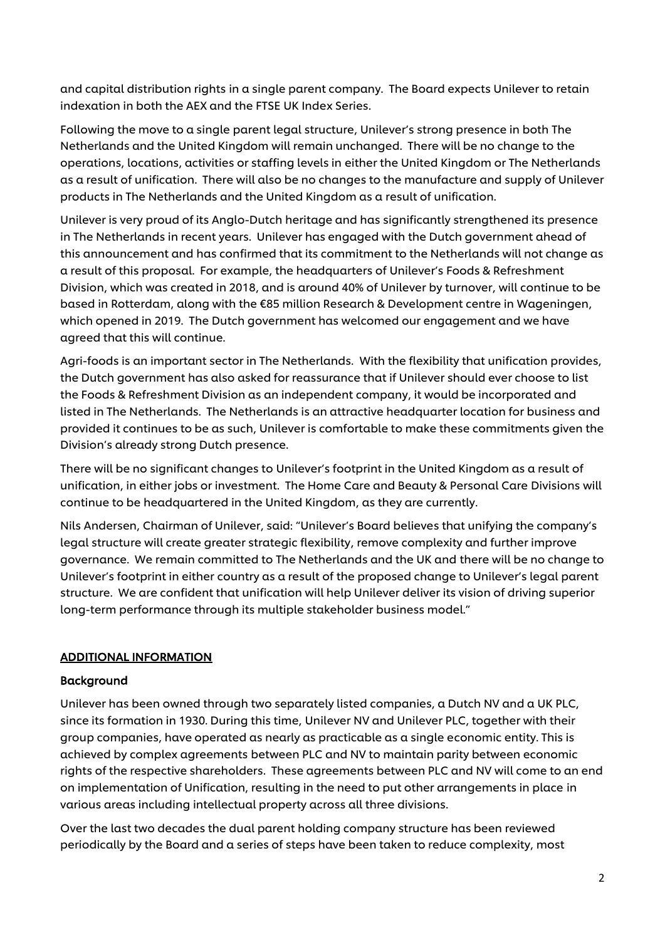and capital distribution rights in a single parent company. The Board expects Unilever to retain indexation in both the AEX and the FTSE UK Index Series.

Following the move to a single parent legal structure, Unilever's strong presence in both The Netherlands and the United Kingdom will remain unchanged. There will be no change to the operations, locations, activities or staffing levels in either the United Kingdom or The Netherlands as a result of unification. There will also be no changes to the manufacture and supply of Unilever products in The Netherlands and the United Kingdom as a result of unification.

Unilever is very proud of its Anglo-Dutch heritage and has significantly strengthened its presence in The Netherlands in recent years. Unilever has engaged with the Dutch government ahead of this announcement and has confirmed that its commitment to the Netherlands will not change as a result of this proposal. For example, the headquarters of Unilever's Foods & Refreshment Division, which was created in 2018, and is around 40% of Unilever by turnover, will continue to be based in Rotterdam, along with the €85 million Research & Development centre in Wageningen, which opened in 2019. The Dutch government has welcomed our engagement and we have agreed that this will continue.

Agri-foods is an important sector in The Netherlands. With the flexibility that unification provides, the Dutch government has also asked for reassurance that if Unilever should ever choose to list the Foods & Refreshment Division as an independent company, it would be incorporated and listed in The Netherlands. The Netherlands is an attractive headquarter location for business and provided it continues to be as such, Unilever is comfortable to make these commitments given the Division's already strong Dutch presence.

There will be no significant changes to Unilever's footprint in the United Kingdom as a result of unification, in either jobs or investment. The Home Care and Beauty & Personal Care Divisions will continue to be headquartered in the United Kingdom, as they are currently.

Nils Andersen, Chairman of Unilever, said: "Unilever's Board believes that unifying the company's legal structure will create greater strategic flexibility, remove complexity and further improve governance. We remain committed to The Netherlands and the UK and there will be no change to Unilever's footprint in either country as a result of the proposed change to Unilever's legal parent structure. We are confident that unification will help Unilever deliver its vision of driving superior long-term performance through its multiple stakeholder business model."

## ADDITIONAL INFORMATION

## Background

Unilever has been owned through two separately listed companies, a Dutch NV and a UK PLC, since its formation in 1930. During this time, Unilever NV and Unilever PLC, together with their group companies, have operated as nearly as practicable as a single economic entity. This is achieved by complex agreements between PLC and NV to maintain parity between economic rights of the respective shareholders. These agreements between PLC and NV will come to an end on implementation of Unification, resulting in the need to put other arrangements in place in various areas including intellectual property across all three divisions.

Over the last two decades the dual parent holding company structure has been reviewed periodically by the Board and a series of steps have been taken to reduce complexity, most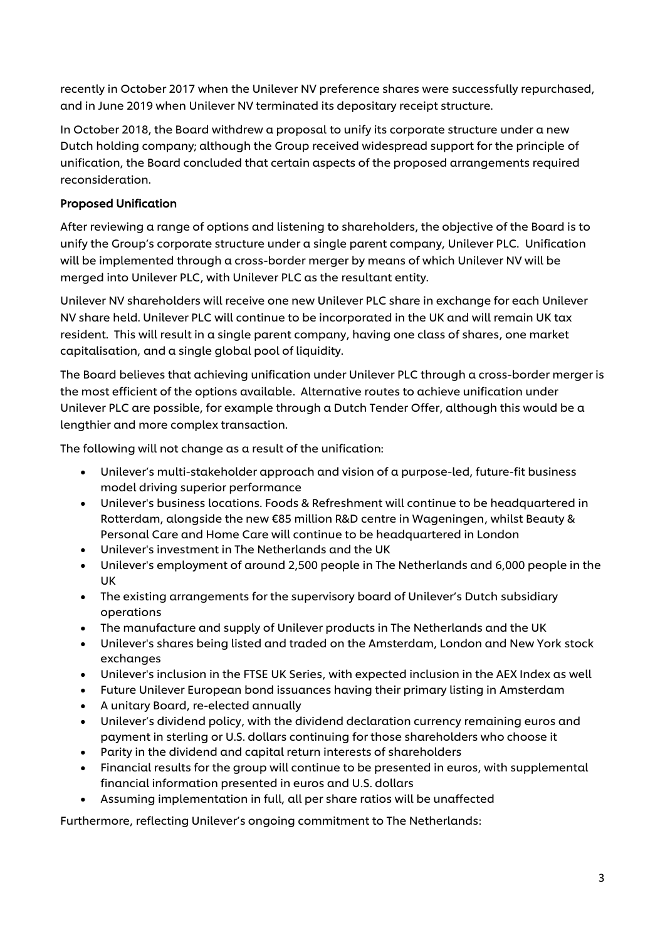recently in October 2017 when the Unilever NV preference shares were successfully repurchased, and in June 2019 when Unilever NV terminated its depositary receipt structure.

In October 2018, the Board withdrew a proposal to unify its corporate structure under a new Dutch holding company; although the Group received widespread support for the principle of unification, the Board concluded that certain aspects of the proposed arrangements required reconsideration.

# Proposed Unification

After reviewing a range of options and listening to shareholders, the objective of the Board is to unify the Group's corporate structure under a single parent company, Unilever PLC. Unification will be implemented through a cross-border merger by means of which Unilever NV will be merged into Unilever PLC, with Unilever PLC as the resultant entity.

Unilever NV shareholders will receive one new Unilever PLC share in exchange for each Unilever NV share held. Unilever PLC will continue to be incorporated in the UK and will remain UK tax resident. This will result in a single parent company, having one class of shares, one market capitalisation, and a single global pool of liquidity.

The Board believes that achieving unification under Unilever PLC through a cross-border merger is the most efficient of the options available. Alternative routes to achieve unification under Unilever PLC are possible, for example through a Dutch Tender Offer, although this would be a lengthier and more complex transaction.

The following will not change as a result of the unification:

- Unilever's multi-stakeholder approach and vision of a purpose-led, future-fit business model driving superior performance
- Unilever's business locations. Foods & Refreshment will continue to be headquartered in Rotterdam, alongside the new €85 million R&D centre in Wageningen, whilst Beauty & Personal Care and Home Care will continue to be headquartered in London
- Unilever's investment in The Netherlands and the UK
- Unilever's employment of around 2,500 people in The Netherlands and 6,000 people in the UK
- The existing arrangements for the supervisory board of Unilever's Dutch subsidiary operations
- The manufacture and supply of Unilever products in The Netherlands and the UK
- Unilever's shares being listed and traded on the Amsterdam, London and New York stock exchanges
- Unilever's inclusion in the FTSE UK Series, with expected inclusion in the AEX Index as well
- Future Unilever European bond issuances having their primary listing in Amsterdam
- A unitary Board, re-elected annually
- Unilever's dividend policy, with the dividend declaration currency remaining euros and payment in sterling or U.S. dollars continuing for those shareholders who choose it
- Parity in the dividend and capital return interests of shareholders
- Financial results for the group will continue to be presented in euros, with supplemental financial information presented in euros and U.S. dollars
- Assuming implementation in full, all per share ratios will be unaffected

Furthermore, reflecting Unilever's ongoing commitment to The Netherlands: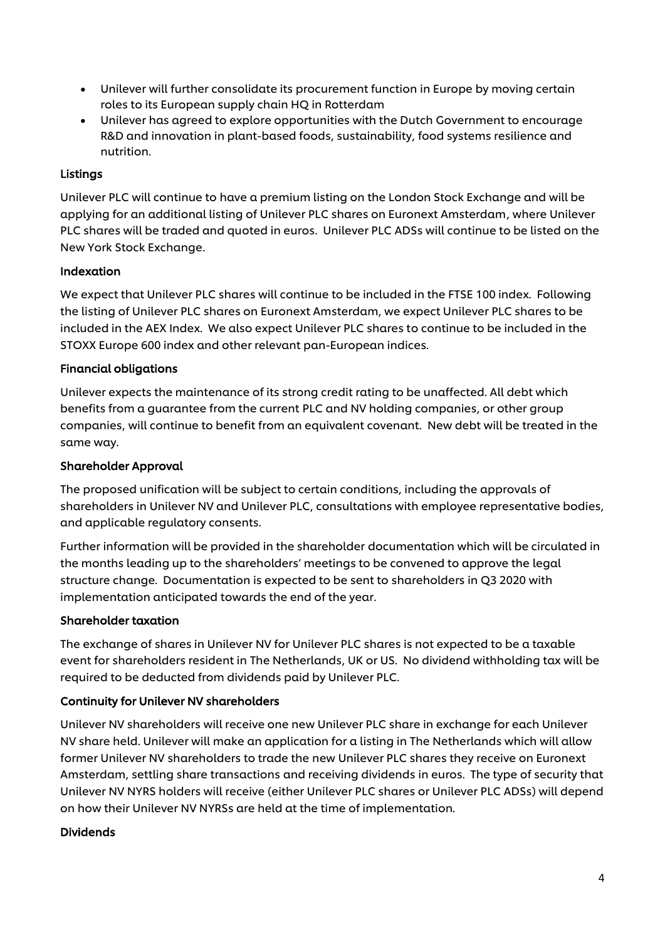- Unilever will further consolidate its procurement function in Europe by moving certain roles to its European supply chain HQ in Rotterdam
- Unilever has agreed to explore opportunities with the Dutch Government to encourage R&D and innovation in plant-based foods, sustainability, food systems resilience and nutrition.

# Listings

Unilever PLC will continue to have a premium listing on the London Stock Exchange and will be applying for an additional listing of Unilever PLC shares on Euronext Amsterdam, where Unilever PLC shares will be traded and quoted in euros. Unilever PLC ADSs will continue to be listed on the New York Stock Exchange.

# Indexation

We expect that Unilever PLC shares will continue to be included in the FTSE 100 index. Following the listing of Unilever PLC shares on Euronext Amsterdam, we expect Unilever PLC shares to be included in the AEX Index. We also expect Unilever PLC shares to continue to be included in the STOXX Europe 600 index and other relevant pan-European indices.

## Financial obligations

Unilever expects the maintenance of its strong credit rating to be unaffected. All debt which benefits from a guarantee from the current PLC and NV holding companies, or other group companies, will continue to benefit from an equivalent covenant. New debt will be treated in the same way.

## Shareholder Approval

The proposed unification will be subject to certain conditions, including the approvals of shareholders in Unilever NV and Unilever PLC, consultations with employee representative bodies, and applicable regulatory consents.

Further information will be provided in the shareholder documentation which will be circulated in the months leading up to the shareholders' meetings to be convened to approve the legal structure change. Documentation is expected to be sent to shareholders in Q3 2020 with implementation anticipated towards the end of the year.

## Shareholder taxation

The exchange of shares in Unilever NV for Unilever PLC shares is not expected to be a taxable event for shareholders resident in The Netherlands, UK or US. No dividend withholding tax will be required to be deducted from dividends paid by Unilever PLC.

# Continuity for Unilever NV shareholders

Unilever NV shareholders will receive one new Unilever PLC share in exchange for each Unilever NV share held. Unilever will make an application for a listing in The Netherlands which will allow former Unilever NV shareholders to trade the new Unilever PLC shares they receive on Euronext Amsterdam, settling share transactions and receiving dividends in euros. The type of security that Unilever NV NYRS holders will receive (either Unilever PLC shares or Unilever PLC ADSs) will depend on how their Unilever NV NYRSs are held at the time of implementation.

## Dividends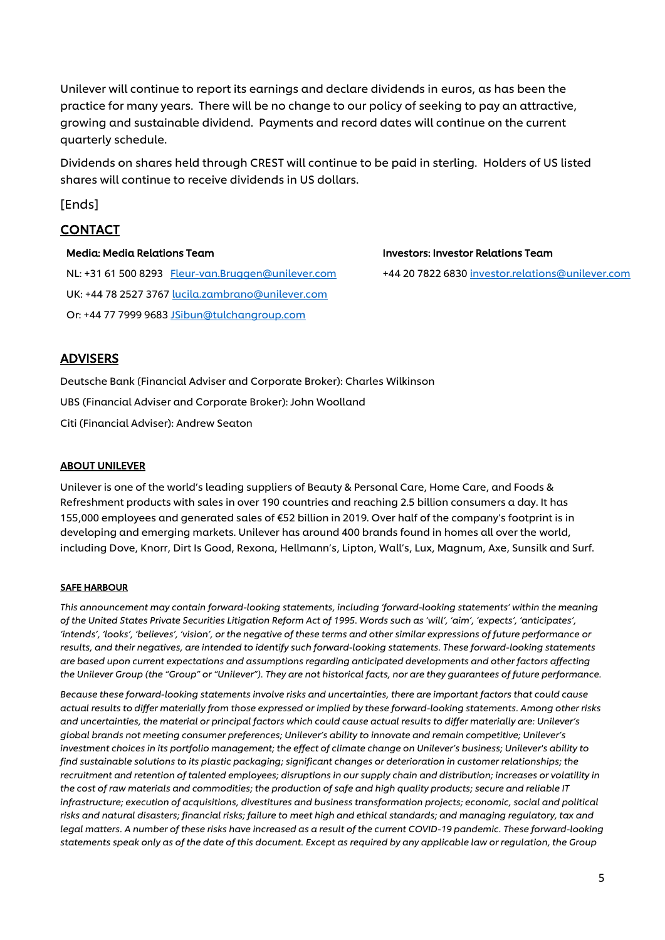Unilever will continue to report its earnings and declare dividends in euros, as has been the practice for many years. There will be no change to our policy of seeking to pay an attractive, growing and sustainable dividend. Payments and record dates will continue on the current quarterly schedule.

Dividends on shares held through CREST will continue to be paid in sterling. Holders of US listed shares will continue to receive dividends in US dollars.

[Ends]

# CONTACT

#### Media: Media Relations Team

NL: +31 61 500 8293 [Fleur-van.Bruggen@unilever.com](mailto:Fleur-van.Bruggen@unilever.com) UK: +44 78 2527 3767 [lucila.zambrano@unilever.com](mailto:lucila.zambrano@unilever.com) Or: +44 77 7999 9683 [JSibun@tulchangroup.com](mailto:JSibun@tulchangroup.com)

#### Investors: Investor Relations Team

+44 20 7822 683[0 investor.relations@unilever.com](mailto:investor.relations@unilever.com)

# ADVISERS

Deutsche Bank (Financial Adviser and Corporate Broker): Charles Wilkinson UBS (Financial Adviser and Corporate Broker): John Woolland Citi (Financial Adviser): Andrew Seaton

#### ABOUT UNILEVER

Unilever is one of the world's leading suppliers of Beauty & Personal Care, Home Care, and Foods & Refreshment products with sales in over 190 countries and reaching 2.5 billion consumers a day. It has 155,000 employees and generated sales of €52 billion in 2019. Over half of the company's footprint is in developing and emerging markets. Unilever has around 400 brands found in homes all over the world, including Dove, Knorr, Dirt Is Good, Rexona, Hellmann's, Lipton, Wall's, Lux, Magnum, Axe, Sunsilk and Surf.

#### SAFE HARBOUR

*This announcement may contain forward-looking statements, including 'forward-looking statements' within the meaning of the United States Private Securities Litigation Reform Act of 1995. Words such as 'will', 'aim', 'expects', 'anticipates',*  'intends', 'looks', 'believes', 'vision', or the negative of these terms and other similar expressions of future performance or *results, and their negatives, are intended to identify such forward-looking statements. These forward-looking statements are based upon current expectations and assumptions regarding anticipated developments and other factors affecting the Unilever Group (the "Group" or "Unilever"). They are not historical facts, nor are they guarantees of future performance.*

*Because these forward-looking statements involve risks and uncertainties, there are important factors that could cause actual results to differ materially from those expressed or implied by these forward-looking statements. Among other risks and uncertainties, the material or principal factors which could cause actual results to differ materially are: Unilever's global brands not meeting consumer preferences; Unilever's ability to innovate and remain competitive; Unilever's investment choices in its portfolio management; the effect of climate change on Unilever's business; Unilever's ability to find sustainable solutions to its plastic packaging; significant changes or deterioration in customer relationships; the recruitment and retention of talented employees; disruptions in our supply chain and distribution; increases or volatility in the cost of raw materials and commodities; the production of safe and high quality products; secure and reliable IT infrastructure; execution of acquisitions, divestitures and business transformation projects; economic, social and political risks and natural disasters; financial risks; failure to meet high and ethical standards; and managing regulatory, tax and legal matters. A number of these risks have increased as a result of the current COVID-19 pandemic. These forward-looking statements speak only as of the date of this document. Except as required by any applicable law or regulation, the Group*